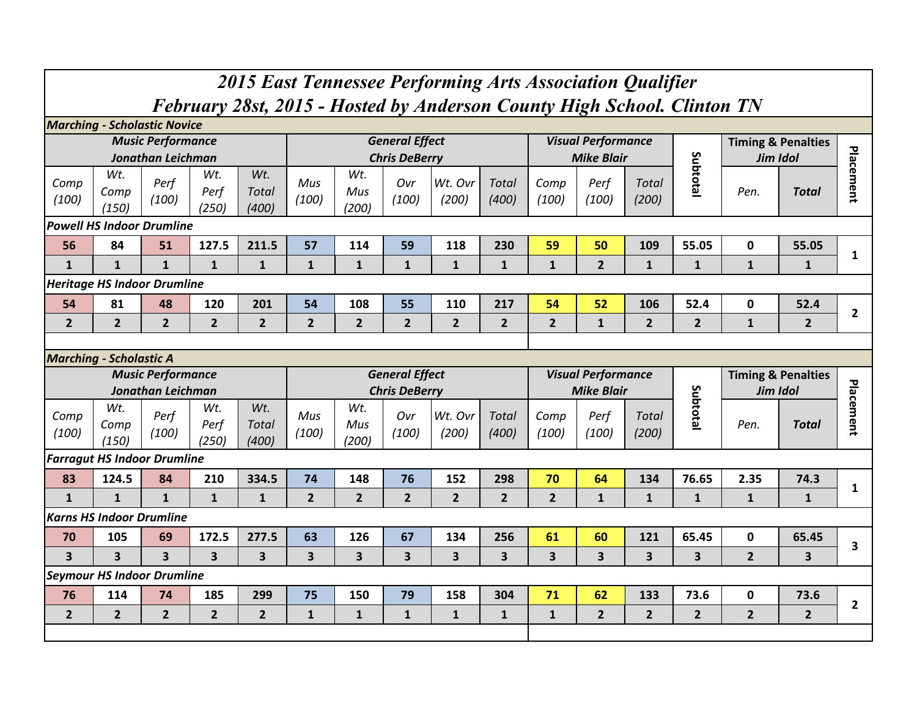| 2015 East Tennessee Performing Arts Association Qualifier |                                                                                                                                                                                                                                                                        |                                    |                         |                         |                         |                     |                                      |                         |                       |                         |                                    |                       |                |                         |                               |              |
|-----------------------------------------------------------|------------------------------------------------------------------------------------------------------------------------------------------------------------------------------------------------------------------------------------------------------------------------|------------------------------------|-------------------------|-------------------------|-------------------------|---------------------|--------------------------------------|-------------------------|-----------------------|-------------------------|------------------------------------|-----------------------|----------------|-------------------------|-------------------------------|--------------|
|                                                           | February 28st, 2015 - Hosted by Anderson County High School. Clinton TN<br><b>Marching - Scholastic Novice</b>                                                                                                                                                         |                                    |                         |                         |                         |                     |                                      |                         |                       |                         |                                    |                       |                |                         |                               |              |
|                                                           | <b>Music Performance</b><br><b>General Effect</b><br><b>Visual Performance</b><br><b>Timing &amp; Penalties</b><br>Subtotal<br>Jonathan Leichman<br><b>Chris DeBerry</b><br><b>Mike Blair</b><br>Jim Idol<br>Wt.<br>Wt.<br>Wt.<br>Wt.                                  |                                    |                         |                         |                         |                     |                                      |                         |                       |                         |                                    |                       |                |                         |                               |              |
| Comp<br>(100)                                             | Comp<br>(150)                                                                                                                                                                                                                                                          | Perf<br>(100)                      | Perf<br>(250)           | <b>Total</b><br>(400)   | Mus<br>(100)            | Mus<br>(200)        | Ovr<br>(100)                         | Wt. Ovr<br>(200)        | <b>Total</b><br>(400) | Comp<br>(100)           | Perf<br>(100)                      | <b>Total</b><br>(200) |                | Pen.                    | <b>Total</b>                  | Placement    |
|                                                           |                                                                                                                                                                                                                                                                        |                                    |                         |                         |                         |                     |                                      |                         |                       |                         |                                    |                       |                |                         |                               |              |
| 56                                                        | <b>Powell HS Indoor Drumline</b><br>127.5<br>211.5<br>59<br>118<br>230<br>59<br>50<br>109<br>55.05<br>$\mathbf 0$<br>84<br>51<br>57<br>114<br>55.05                                                                                                                    |                                    |                         |                         |                         |                     |                                      |                         |                       |                         |                                    |                       |                |                         |                               | 1            |
| $\mathbf{1}$                                              | $\mathbf{1}$                                                                                                                                                                                                                                                           | $\mathbf{1}$                       | $\mathbf{1}$            | $\overline{2}$          | $\mathbf{1}$            | $\mathbf{1}$        | $\mathbf{1}$                         | $\mathbf{1}$            |                       |                         |                                    |                       |                |                         |                               |              |
|                                                           |                                                                                                                                                                                                                                                                        |                                    |                         |                         |                         |                     |                                      |                         |                       |                         |                                    |                       |                |                         |                               |              |
| 54                                                        | <b>Heritage HS Indoor Drumline</b><br>81<br>48<br>120<br>201<br>54<br>108<br>55<br>110<br>217<br>54<br>52<br>52.4<br>$\mathbf 0$<br>52.4<br>106<br>$\overline{2}$                                                                                                      |                                    |                         |                         |                         |                     |                                      |                         |                       |                         |                                    |                       |                |                         |                               |              |
| $\overline{2}$                                            | $\overline{2}$<br>$\overline{2}$<br>$\overline{2}$<br>$\overline{2}$<br>$\overline{2}$<br>$\overline{2}$<br>$\overline{2}$<br>$\overline{2}$<br>$\overline{2}$<br>$\overline{2}$<br>$\mathbf{1}$<br>$\overline{2}$<br>$\overline{2}$<br>$\mathbf{1}$<br>$\overline{2}$ |                                    |                         |                         |                         |                     |                                      |                         |                       |                         |                                    |                       |                |                         |                               |              |
|                                                           |                                                                                                                                                                                                                                                                        |                                    |                         |                         |                         |                     |                                      |                         |                       |                         |                                    |                       |                |                         |                               |              |
|                                                           | <b>Marching - Scholastic A</b>                                                                                                                                                                                                                                         |                                    |                         |                         |                         |                     |                                      |                         |                       |                         |                                    |                       |                |                         |                               |              |
|                                                           |                                                                                                                                                                                                                                                                        |                                    |                         |                         |                         |                     |                                      |                         |                       |                         |                                    |                       |                |                         |                               |              |
|                                                           |                                                                                                                                                                                                                                                                        | <b>Music Performance</b>           |                         |                         |                         |                     | <b>General Effect</b>                |                         |                       |                         | <b>Visual Performance</b>          |                       |                |                         | <b>Timing &amp; Penalties</b> |              |
| Comp<br>(100)                                             | Wt.<br>Comp<br>(150)                                                                                                                                                                                                                                                   | Jonathan Leichman<br>Perf<br>(100) | Wt.<br>Perf<br>(250)    | Wt.<br>Total<br>(400)   | Mus<br>(100)            | Wt.<br>Mus<br>(200) | <b>Chris DeBerry</b><br>Ovr<br>(100) | Wt. Ovr<br>(200)        | <b>Total</b><br>(400) | Comp<br>(100)           | <b>Mike Blair</b><br>Perf<br>(100) | <b>Total</b><br>(200) | Subtota        | <b>Jim Idol</b><br>Pen. | <b>Total</b>                  | Placement    |
|                                                           | <b>Farragut HS Indoor Drumline</b>                                                                                                                                                                                                                                     |                                    |                         |                         |                         |                     |                                      |                         |                       |                         |                                    |                       |                |                         |                               |              |
| 83                                                        | 124.5                                                                                                                                                                                                                                                                  | 84                                 | 210                     | 334.5                   | 74                      | 148                 | 76                                   | 152                     | 298                   | 70                      | 64                                 | 134                   | 76.65          | 2.35                    | 74.3                          |              |
| $\mathbf{1}$                                              | $\mathbf{1}$                                                                                                                                                                                                                                                           | $\mathbf{1}$                       | $\mathbf{1}$            | $\mathbf{1}$            | $\overline{2}$          | $\overline{2}$      | $\overline{2}$                       | $\overline{2}$          | 2 <sup>2</sup>        | $\overline{2}$          | $\mathbf{1}$                       | $\mathbf{1}$          | $\mathbf{1}$   | $\mathbf{1}$            | $\mathbf{1}$                  | 1            |
|                                                           | <b>Karns HS Indoor Drumline</b>                                                                                                                                                                                                                                        |                                    |                         |                         |                         |                     |                                      |                         |                       |                         |                                    |                       |                |                         |                               |              |
| 70                                                        | 105                                                                                                                                                                                                                                                                    | 69                                 | 172.5                   | 277.5                   | 63                      | 126                 | 67                                   | 134                     | 256                   | 61                      | 60                                 | 121                   | 65.45          | $\mathbf 0$             | 65.45                         |              |
| $\overline{\mathbf{3}}$                                   | $\overline{\mathbf{3}}$                                                                                                                                                                                                                                                | 3                                  | $\overline{\mathbf{3}}$ | $\overline{\mathbf{3}}$ | $\overline{\mathbf{3}}$ | 3                   | $\overline{\mathbf{3}}$              | $\overline{\mathbf{3}}$ | 3                     | $\overline{\mathbf{3}}$ | 3                                  | 3                     | 3              | $\overline{2}$          | 3                             | 3            |
|                                                           | <b>Seymour HS Indoor Drumline</b>                                                                                                                                                                                                                                      |                                    |                         |                         |                         |                     |                                      |                         |                       |                         |                                    |                       |                |                         |                               |              |
| 76                                                        | 114                                                                                                                                                                                                                                                                    | 74                                 | 185                     | 299                     | 75                      | 150                 | 79                                   | 158                     | 304                   | 71                      | 62                                 | 133                   | 73.6           | $\mathbf 0$             | 73.6                          |              |
| $\overline{2}$                                            | $\overline{2}$                                                                                                                                                                                                                                                         | $\overline{2}$                     | $\overline{2}$          | 2 <sup>1</sup>          | $\mathbf{1}$            | $\mathbf{1}$        | $\mathbf{1}$                         | $\mathbf{1}$            | $\mathbf{1}$          | $\mathbf{1}$            | $\overline{2}$                     | $\overline{2}$        | $\overline{2}$ | $\overline{2}$          | $\overline{2}$                | $\mathbf{2}$ |

٦

 $\Box$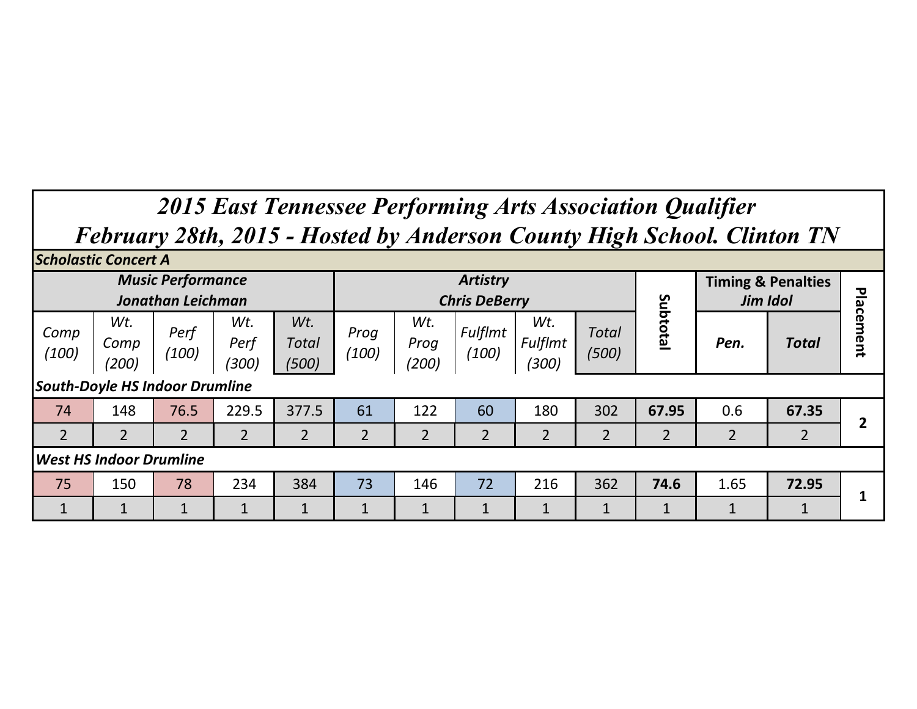## *2015 East Tennessee Performing Arts Association Qualifier February 28th, 2015 - Hosted by Anderson County High School. Clinton TN*

| <b>Scholastic Concert A</b>           |                                                                                                                    |                          |                |                |                |                      |                                         |                         |                       |                |                               |                |               |
|---------------------------------------|--------------------------------------------------------------------------------------------------------------------|--------------------------|----------------|----------------|----------------|----------------------|-----------------------------------------|-------------------------|-----------------------|----------------|-------------------------------|----------------|---------------|
|                                       |                                                                                                                    | <b>Music Performance</b> |                |                |                |                      | <b>Artistry</b><br><b>Chris DeBerry</b> |                         |                       | Jim Idol       | <b>Timing &amp; Penalties</b> | Plac           |               |
| Comp<br>(100)                         | <b>Jonathan Leichman</b><br>Wt.<br>Wt.<br>Wt.<br>Perf<br>Total<br>Perf<br>Comp<br>(100)<br>(200)<br>(300)<br>(500) |                          |                |                | Prog<br>(100)  | Wt.<br>Prog<br>(200) | Fulflmt<br>(100)                        | Wt.<br>Fulflmt<br>(300) | <b>Total</b><br>(500) | Subtotal       | Pen.                          | Total          | em<br>ēu<br>ā |
| <b>South-Doyle HS Indoor Drumline</b> |                                                                                                                    |                          |                |                |                |                      |                                         |                         |                       |                |                               |                |               |
| 74                                    | 148                                                                                                                | 76.5                     | 229.5          | 377.5          | 61             | 122                  | 60                                      | 180                     | 302                   | 67.95          | 0.6                           | 67.35          |               |
| $\overline{2}$                        | $\overline{2}$                                                                                                     | $\overline{2}$           | $\overline{2}$ | $\overline{2}$ | $\overline{2}$ | $\overline{2}$       | $\overline{2}$                          | $\overline{2}$          | $\overline{2}$        | $\overline{2}$ | $\overline{2}$                | $\overline{2}$ |               |
| <b>West HS Indoor Drumline</b>        |                                                                                                                    |                          |                |                |                |                      |                                         |                         |                       |                |                               |                |               |
| 75                                    | 150                                                                                                                | 78                       | 234            | 384            | 73             | 146                  | 72                                      | 216                     | 362                   | 74.6           | 1.65                          | 72.95          |               |
|                                       |                                                                                                                    | Ŧ.                       | $\mathbf{1}$   |                |                | 1                    | $\mathbf{1}$                            | 1                       | 1                     | $\mathbf{1}$   | $\mathbf{1}$                  | $\mathbf{1}$   |               |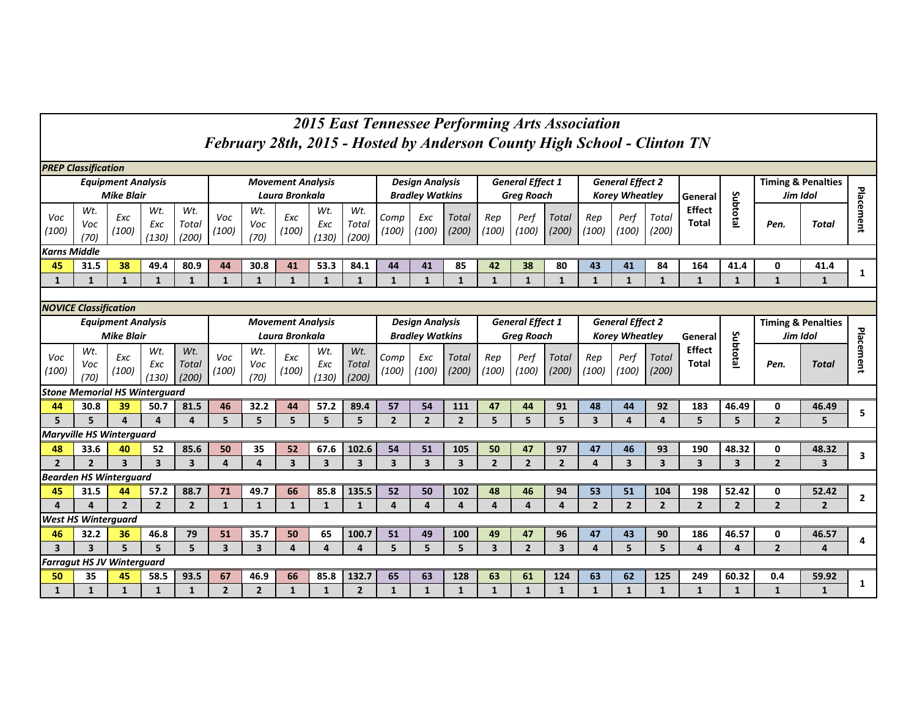## *2015 East Tennessee Performing Arts Association February 28th, 2015 - Hosted by Anderson County High School - Clinton TN*

| <b>PREP Classification</b>                                                                                                                                                                             |                                                                                                                                |                           |                                      |                         |                                 |                    |                          |                         |                       |                         |                         |                         |                         |                         |                       |                         |                         |                       |                               |                         |                |                               |              |
|--------------------------------------------------------------------------------------------------------------------------------------------------------------------------------------------------------|--------------------------------------------------------------------------------------------------------------------------------|---------------------------|--------------------------------------|-------------------------|---------------------------------|--------------------|--------------------------|-------------------------|-----------------------|-------------------------|-------------------------|-------------------------|-------------------------|-------------------------|-----------------------|-------------------------|-------------------------|-----------------------|-------------------------------|-------------------------|----------------|-------------------------------|--------------|
|                                                                                                                                                                                                        |                                                                                                                                | <b>Equipment Analysis</b> |                                      |                         |                                 |                    | <b>Movement Analysis</b> |                         |                       |                         | <b>Design Analysis</b>  |                         |                         | <b>General Effect 1</b> |                       |                         | <b>General Effect 2</b> |                       |                               |                         |                | <b>Timing &amp; Penalties</b> |              |
|                                                                                                                                                                                                        |                                                                                                                                | <b>Mike Blair</b>         |                                      |                         |                                 |                    | Laura Bronkala           |                         |                       |                         | <b>Bradley Watkins</b>  |                         |                         | <b>Grea Roach</b>       |                       |                         | <b>Korey Wheatley</b>   |                       | General                       |                         | Jim Idol       |                               |              |
| Voc<br>(100)                                                                                                                                                                                           | Wt.<br>Voc<br>(70)                                                                                                             | Exc<br>(100)              | Wt.<br>Exc<br>(130)                  | Wt.<br>Total<br>(200)   | Voc<br>(100)                    | Wt.<br>Voc<br>(70) | Exc<br>(100)             | Wt.<br>Exc<br>(130)     | Wt.<br>Total<br>(200) | Comp<br>(100)           | Exc<br>(100)            | Total<br>(200)          | Rep<br>(100)            | Perf<br>(100)           | <b>Total</b><br>(200) | Rep<br>(100)            | Perf<br>(100)           | Total<br>(200)        | <b>Effect</b><br><b>Total</b> | Subtotal                | Pen.           | Total                         | Placement    |
| <b>Karns Middle</b>                                                                                                                                                                                    |                                                                                                                                |                           |                                      |                         |                                 |                    |                          |                         |                       |                         |                         |                         |                         |                         |                       |                         |                         |                       |                               |                         |                |                               |              |
| 45                                                                                                                                                                                                     | 31.5                                                                                                                           | 38                        | 49.4                                 | 80.9                    | 44                              | 30.8               | 41                       | 53.3                    | 84.1                  | 44                      | 41                      | 85                      | 42                      | 38                      | 80                    | 43                      | 41                      | 84                    | 164                           | 41.4                    | 0              | 41.4                          | 1            |
| 1                                                                                                                                                                                                      | $\mathbf{1}$                                                                                                                   | $\mathbf{1}$              | $\mathbf{1}$                         | $\mathbf{1}$            | $\mathbf{1}$                    | $\mathbf{1}$       | $\mathbf{1}$             | $\mathbf{1}$            | $\mathbf{1}$          | $\mathbf{1}$            | $\mathbf{1}$            | $\mathbf{1}$            | $\mathbf{1}$            | $\mathbf{1}$            | $\mathbf{1}$          | $\mathbf{1}$            | $\mathbf{1}$            | $\mathbf{1}$          | $\mathbf{1}$                  | $\mathbf{1}$            | $\mathbf{1}$   | $\mathbf 1$                   |              |
|                                                                                                                                                                                                        |                                                                                                                                |                           |                                      |                         |                                 |                    |                          |                         |                       |                         |                         |                         |                         |                         |                       |                         |                         |                       |                               |                         |                |                               |              |
| <b>NOVICE Classification</b><br><b>General Effect 1</b><br><b>General Effect 2</b><br><b>Design Analysis</b><br><b>Equipment Analysis</b><br><b>Movement Analysis</b><br><b>Timing &amp; Penalties</b> |                                                                                                                                |                           |                                      |                         |                                 |                    |                          |                         |                       |                         |                         |                         |                         |                         |                       |                         |                         |                       |                               |                         |                |                               |              |
|                                                                                                                                                                                                        |                                                                                                                                |                           |                                      |                         |                                 |                    |                          |                         |                       |                         |                         |                         |                         |                         |                       |                         |                         |                       |                               |                         |                |                               |              |
|                                                                                                                                                                                                        |                                                                                                                                | <b>Mike Blair</b>         |                                      |                         | Laura Bronkala                  |                    |                          |                         |                       |                         | <b>Bradley Watkins</b>  |                         |                         | <b>Greg Roach</b>       |                       |                         | <b>Korey Wheatley</b>   |                       | General                       |                         | Jim Idol       |                               |              |
| Voc<br>(100)                                                                                                                                                                                           | Wt.<br>Voc<br>(70)                                                                                                             | Exc<br>(100)              | Wt.<br>Exc<br>(130)                  | Wt.<br>Total<br>(200)   | Voc<br>(100)                    | Wt.<br>Voc<br>(70) | Exc<br>(100)             | Wt.<br>Exc<br>(130)     | Wt.<br>Total<br>(200) | Comp<br>(100)           | Exc<br>(100)            | <b>Total</b><br>(200)   | Rep<br>(100)            | Perf<br>(100)           | Total<br>(200)        | Rep<br>(100)            | Perf<br>(100)           | <b>Total</b><br>(200) | <b>Effect</b><br>Total        | Subtotal                | Pen.           | <b>Total</b>                  | Placement    |
|                                                                                                                                                                                                        |                                                                                                                                |                           | <b>Stone Memorial HS Winterquard</b> |                         |                                 |                    |                          |                         |                       |                         |                         |                         |                         |                         |                       |                         |                         |                       |                               |                         |                |                               |              |
| 44                                                                                                                                                                                                     | 30.8                                                                                                                           | 39                        | 50.7                                 | 81.5                    | 46                              | 32.2               | 44                       | 57.2                    | 89.4                  | 57                      | 54                      | 111                     | 47                      | 44                      | 91                    | 48                      | 44                      | 92                    | 183                           | 46.49                   | 0              | 46.49                         | 5            |
| 5                                                                                                                                                                                                      | 5                                                                                                                              | $\Delta$                  | $\Delta$                             | 4                       | 5                               | 5                  | 5                        | 5                       | 5                     | $\overline{2}$          | $\overline{2}$          | $\overline{2}$          | 5                       | 5                       | 5                     | $\overline{\mathbf{3}}$ | $\overline{a}$          | 4                     | 5                             | 5                       | $\overline{2}$ | 5                             |              |
| <b>Maryville HS Winterguard</b>                                                                                                                                                                        |                                                                                                                                |                           |                                      |                         |                                 |                    |                          |                         |                       |                         |                         |                         |                         |                         |                       |                         |                         |                       |                               |                         |                |                               |              |
| 48                                                                                                                                                                                                     | 33.6                                                                                                                           | 40                        | 52                                   | 85.6                    | 50                              | 35                 | 52                       | 67.6                    | 102.6                 | 54                      | 51                      | 105                     | 50                      | 47                      | 97                    | 47                      | 46                      | 93                    | 190                           | 48.32                   | 0              | 48.32                         | 3            |
| $\overline{2}$                                                                                                                                                                                         | $\overline{2}$                                                                                                                 | $\overline{\mathbf{3}}$   | $\overline{\mathbf{3}}$              | $\overline{\mathbf{3}}$ | $\overline{a}$                  | 4                  | 3                        | $\overline{\mathbf{3}}$ | 3                     | $\overline{\mathbf{3}}$ | $\overline{\mathbf{3}}$ | $\overline{\mathbf{3}}$ | $\overline{2}$          | $\overline{2}$          | $\overline{2}$        | 4                       | $\overline{\mathbf{3}}$ | 3                     | $\overline{3}$                | $\overline{\mathbf{3}}$ | $\overline{2}$ | $\overline{\mathbf{3}}$       |              |
| <b>Bearden HS Winterguard</b>                                                                                                                                                                          |                                                                                                                                |                           |                                      |                         |                                 |                    |                          |                         |                       |                         |                         |                         |                         |                         |                       |                         |                         |                       |                               |                         |                |                               |              |
| 45                                                                                                                                                                                                     | 31.5                                                                                                                           | 44                        | 57.2                                 | 88.7                    | 71                              | 49.7               | 66                       | 85.8                    | 135.5                 | 52                      | 50                      | 102                     | 48                      | 46                      | 94                    | 53                      | 51                      | 104                   | 198                           | 52.42                   | 0              | 52.42                         | $\mathbf{2}$ |
| $\Delta$                                                                                                                                                                                               | $\overline{2}$<br>$\overline{2}$<br>$\overline{2}$<br>$\mathbf{1}$<br>$\Delta$<br>$\mathbf{1}$<br>$\mathbf{1}$<br>$\mathbf{1}$ |                           |                                      |                         |                                 |                    |                          | $\mathbf{1}$            | $\Delta$              | $\overline{a}$          | $\overline{a}$          | $\overline{a}$          | $\Delta$                | $\overline{a}$          | $\overline{2}$        | $\overline{2}$          | $\overline{2}$          | $\overline{2}$        | $\overline{2}$                | $\overline{2}$          | $\overline{2}$ |                               |              |
| <b>West HS Winterauard</b>                                                                                                                                                                             |                                                                                                                                |                           |                                      |                         |                                 |                    |                          |                         |                       |                         |                         |                         |                         |                         |                       |                         |                         |                       |                               |                         |                |                               |              |
| 46                                                                                                                                                                                                     | 32.2                                                                                                                           | 36                        | 46.8                                 | 79                      | 51<br>35.7<br>50<br>65<br>100.7 |                    |                          |                         |                       | 51                      | 49                      | 100                     | 49                      | 47                      | 96                    | 47                      | 43                      | 90                    | 186                           | 46.57                   | 0              | 46.57                         | 4            |
| 5<br>5<br>5<br>3<br>$\overline{\mathbf{3}}$<br>$\overline{\mathbf{3}}$<br>$\overline{\mathbf{3}}$<br>$\Delta$<br>$\Delta$                                                                              |                                                                                                                                |                           |                                      |                         |                                 |                    | $\overline{a}$           | 5                       | 5                     | 5                       | $\overline{\mathbf{3}}$ | $\overline{2}$          | $\overline{\mathbf{3}}$ | $\Delta$                | 5                     | 5                       | $\Delta$                | 4                     | $\overline{2}$                | 4                       |                |                               |              |
| <b>Farragut HS JV Winterguard</b>                                                                                                                                                                      |                                                                                                                                |                           |                                      |                         |                                 |                    |                          |                         |                       |                         |                         |                         |                         |                         |                       |                         |                         |                       |                               |                         |                |                               |              |
| 50                                                                                                                                                                                                     | 93.5<br>67<br>132.7<br>46.9<br>66<br>85.8<br>35<br>45<br>58.5                                                                  |                           |                                      |                         |                                 |                    |                          |                         |                       | 65                      | 63                      | 128                     | 63                      | 61                      | 124                   | 63                      | 62                      | 125                   | 249                           | 60.32                   | 0.4            | 59.92                         | 1            |
| 1                                                                                                                                                                                                      | 1                                                                                                                              | 1                         | 1                                    | 1                       | $\overline{2}$                  | $\overline{2}$     | 1                        | 1                       | $\overline{2}$        | 1                       | $\mathbf{1}$            | 1                       | 1                       | 1                       | $\mathbf{1}$          | 1                       | $\mathbf{1}$            | 1                     | $\mathbf{1}$                  | $\mathbf{1}$            | $\mathbf{1}$   | $\mathbf{1}$                  |              |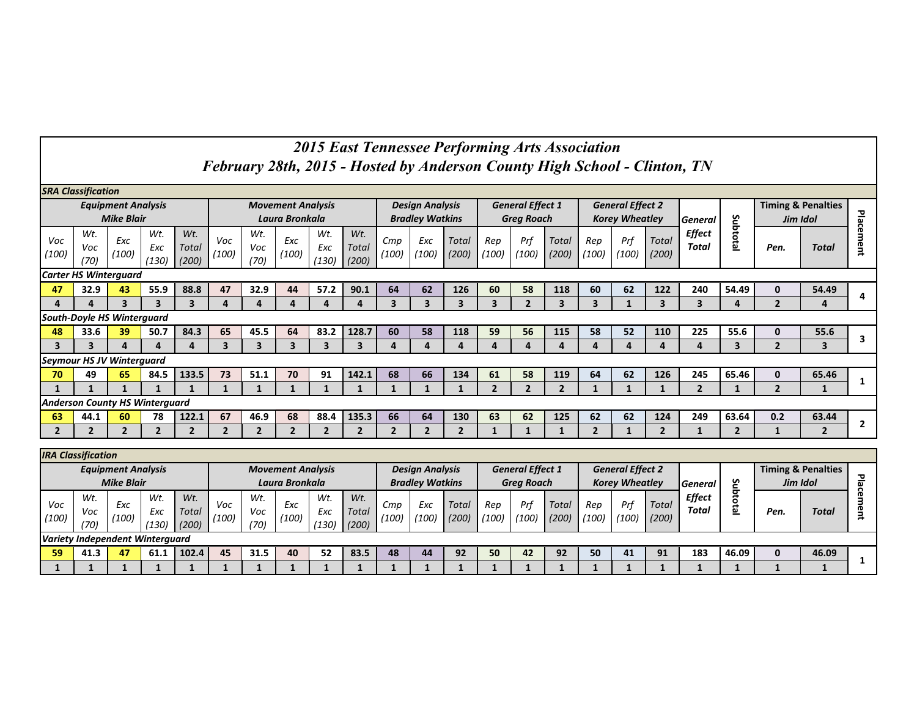## *2015 East Tennessee Performing Arts Association February 28th, 2015 - Hosted by Anderson County High School - Clinton, TN*

| <b>SRA Classification</b>             |                                                |                         |                         |                       |                |                    |                                            |                     |                              |                                                  |              |                       |                                              |                |                       |                |                                                  |                |                               |                |                                           |                |                |
|---------------------------------------|------------------------------------------------|-------------------------|-------------------------|-----------------------|----------------|--------------------|--------------------------------------------|---------------------|------------------------------|--------------------------------------------------|--------------|-----------------------|----------------------------------------------|----------------|-----------------------|----------------|--------------------------------------------------|----------------|-------------------------------|----------------|-------------------------------------------|----------------|----------------|
|                                       | <b>Equipment Analysis</b><br><b>Mike Blair</b> |                         |                         |                       |                |                    | <b>Movement Analysis</b><br>Laura Bronkala |                     |                              | <b>Design Analysis</b><br><b>Bradley Watkins</b> |              |                       | <b>General Effect 1</b><br><b>Greg Roach</b> |                |                       |                | <b>General Effect 2</b><br><b>Korey Wheatley</b> |                | <b>General</b>                |                | <b>Timing &amp; Penalties</b><br>Jim Idol |                | 꼶              |
| Voc<br>(100)                          | Wt.<br>Voc<br>(70)                             | Exc<br>(100)            | Wt.<br>Exc<br>(130)     | Wt.<br>Total<br>(200) | Voc<br>(100)   | Wt.<br>Voc<br>(70) | Exc<br>(100)                               | Wt.<br>Exc<br>(130) | Wt.<br><b>Total</b><br>(200) | Cmp<br>(100)                                     | Exc<br>(100) | <b>Total</b><br>(200) | Rep<br>(100)                                 | Prf<br>(100)   | <b>Total</b><br>(200) | Rep<br>(100)   | Prf<br>(100)                                     | Total<br>(200) | <b>Effect</b><br><b>Total</b> | Subtotal       | Pen.                                      | <b>Total</b>   | Φ<br>ã         |
| <b>Carter HS Winterguard</b>          |                                                |                         |                         |                       |                |                    |                                            |                     |                              |                                                  |              |                       |                                              |                |                       |                |                                                  |                |                               |                |                                           |                |                |
| 47                                    | 32.9                                           | 43                      | 55.9                    | 88.8                  | 47             | 32.9               | 44                                         | 57.2                | 90.1                         | 64                                               | 62           | 126                   | 60                                           | 58             | 118                   | 60             | 62                                               | 122            | 240                           | 54.49          | $\mathbf{0}$                              | 54.49          | 4              |
| 4                                     | 4                                              | $\overline{\mathbf{3}}$ | $\overline{\mathbf{3}}$ | 3                     | 4              | 4                  | 4                                          | 4                   | 4                            | 3                                                | 3            | 3                     | 3                                            | $\overline{2}$ | 3                     | 3              |                                                  | 3              | 3                             | 4              | $\overline{2}$                            | 4              |                |
| <b>South-Doyle HS Winterguard</b>     |                                                |                         |                         |                       |                |                    |                                            |                     |                              |                                                  |              |                       |                                              |                |                       |                |                                                  |                |                               |                |                                           |                |                |
| 48                                    | 33.6                                           | 39                      | 50.7                    | 84.3                  | 65             | 45.5               | 64                                         | 83.2                | 128.7                        | 60                                               | 58           | 118                   | 59                                           | 56             | 115                   | 58             | 52                                               | 110            | 225                           | 55.6           | $\mathbf{0}$                              | 55.6           | 3              |
| 3                                     | 3                                              | 4                       | 4                       | 4                     | 3              | 3                  | 3                                          | 3                   | 3                            | 4                                                | 4            | 4                     | 4                                            | 4              | 4                     | 4              | 4                                                | 4              | 4                             | 3              | $\mathbf{2}$                              | 3              |                |
| <b>Seymour HS JV Winterguard</b>      |                                                |                         |                         |                       |                |                    |                                            |                     |                              |                                                  |              |                       |                                              |                |                       |                |                                                  |                |                               |                |                                           |                |                |
| 70                                    | 49                                             | 65                      | 84.5                    | 133.5                 | 73             | 51.1               | 70                                         | 91                  | 142.1                        | 68                                               | 66           | 134                   | 61                                           | 58             | 119                   | 64             | 62                                               | 126            | 245                           | 65.46          | $\mathbf{0}$                              | 65.46          |                |
|                                       |                                                |                         |                         |                       |                |                    |                                            |                     |                              |                                                  |              |                       | $\overline{2}$                               | $\overline{2}$ | $\overline{2}$        |                |                                                  |                | $\overline{2}$                | 1              | $\overline{2}$                            |                |                |
| <b>Anderson County HS Winterguard</b> |                                                |                         |                         |                       |                |                    |                                            |                     |                              |                                                  |              |                       |                                              |                |                       |                |                                                  |                |                               |                |                                           |                |                |
| 63                                    | 44.1                                           | 60                      | 78                      | 122.1                 | 67             | 46.9               | 68                                         | 88.4                | 135.3                        | 66                                               | 64           | 130                   | 63                                           | 62             | 125                   | 62             | 62                                               | 124            | 249                           | 63.64          | 0.2                                       | 63.44          |                |
| $\overline{2}$                        | $\overline{2}$                                 | $\overline{2}$          | $\overline{2}$          | $\overline{2}$        | $\overline{2}$ | $\overline{2}$     | $\overline{2}$                             | $\overline{2}$      | $\overline{2}$               | $\overline{2}$                                   | $\mathbf{2}$ | $\overline{2}$        |                                              |                |                       | $\overline{2}$ |                                                  | $\overline{2}$ | 1                             | $\overline{2}$ |                                           | $\overline{2}$ | $\overline{2}$ |
| <b>IRA Classification</b>             |                                                |                         |                         |                       |                |                    |                                            |                     |                              |                                                  |              |                       |                                              |                |                       |                |                                                  |                |                               |                |                                           |                |                |

| ---------------                 |                    |              |                     |                       |                          |                    |              |                     |                       |                        |              |                |                         |              |                |              |                         |                       |                        |        |          |                               |                          |
|---------------------------------|--------------------|--------------|---------------------|-----------------------|--------------------------|--------------------|--------------|---------------------|-----------------------|------------------------|--------------|----------------|-------------------------|--------------|----------------|--------------|-------------------------|-----------------------|------------------------|--------|----------|-------------------------------|--------------------------|
| <b>Equipment Analysis</b>       |                    |              |                     |                       | <b>Movement Analysis</b> |                    |              |                     |                       | <b>Design Analysis</b> |              |                | <b>General Effect 1</b> |              |                |              | <b>General Effect 2</b> |                       |                        |        |          | <b>Timing &amp; Penalties</b> |                          |
|                                 | <b>Mike Blair</b>  |              |                     |                       | Laura Bronkala           |                    |              |                     |                       | <b>Bradley Watkins</b> |              |                | <b>Greg Roach</b>       |              |                |              | <b>Korey Wheatley</b>   |                       | <b>General</b>         | ທ      | Jim Idol |                               |                          |
| Voc<br>(100)                    | Wt.<br>Voc<br>(70) | Exc<br>(100) | Wt.<br>Exc<br>(130) | Wt.<br>Total<br>(200) | Voc<br>(100)             | Wt.<br>Voc<br>(70) | Exc<br>(100) | Wt.<br>Exc<br>(130) | Wt.<br>Total<br>(200) | Cmp<br>(100)           | Exc<br>(100) | Total<br>(200) | Rep<br>(100)            | Pri<br>(100) | Total<br>(200) | Rep<br>(100) | Prf<br>(100)            | <b>Total</b><br>(200) | <b>Effect</b><br>Total | 5<br>= | Pen.     | Total                         | $\overline{\phantom{a}}$ |
| Variety Independent Winterauard |                    |              |                     |                       |                          |                    |              |                     |                       |                        |              |                |                         |              |                |              |                         |                       |                        |        |          |                               |                          |
| 59                              | 41.3               | 47           | 61.1                | 102.4                 | 45                       | 31.5               | 40           | 52                  | 83.5                  | 48                     | 44           | 92             | 50                      | 42           | 92             | 50           | 41                      | 91                    | 183                    | 46.09  | 0        | 46.09                         |                          |
|                                 |                    |              |                     |                       |                          |                    |              |                     |                       |                        |              |                |                         |              |                |              |                         |                       |                        |        |          |                               |                          |